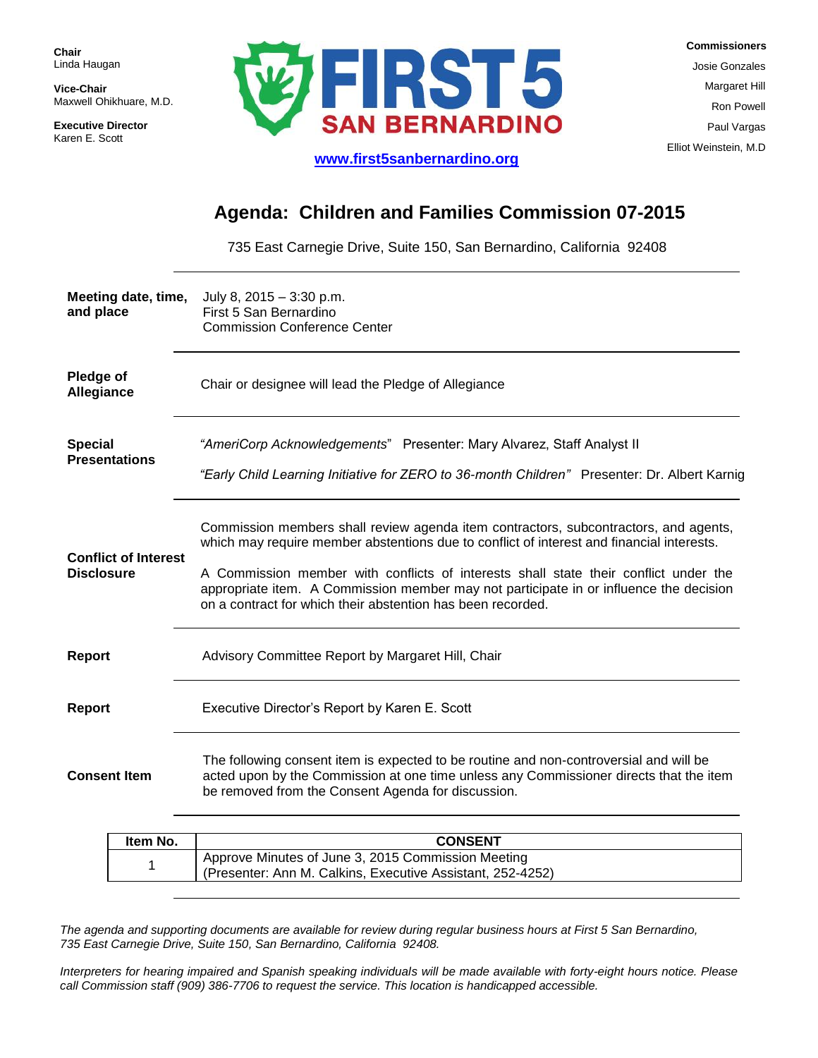**Chair** Linda Haugan

**Vice-Chair** Maxwell Ohikhuare, M.D.

**Executive Director** Karen E. Scott



 **Commissioners** Josie Gonzales Margaret Hill Ron Powell Paul Vargas Elliot Weinstein, M.D

#### **[www.first5sanbernardino.org](http://www.first5sanbernardino.org/)**

# **Agenda: Children and Families Commission 07-2015**

735 East Carnegie Drive, Suite 150, San Bernardino, California 92408

| Meeting date, time,<br>and place                                   | July 8, $2015 - 3:30$ p.m.<br>First 5 San Bernardino<br><b>Commission Conference Center</b>                                                                                                                                                                                                                                                                                                                                        |  |  |
|--------------------------------------------------------------------|------------------------------------------------------------------------------------------------------------------------------------------------------------------------------------------------------------------------------------------------------------------------------------------------------------------------------------------------------------------------------------------------------------------------------------|--|--|
| <b>Pledge of</b><br>Allegiance                                     | Chair or designee will lead the Pledge of Allegiance                                                                                                                                                                                                                                                                                                                                                                               |  |  |
| <b>Special</b><br><b>Presentations</b>                             | "AmeriCorp Acknowledgements" Presenter: Mary Alvarez, Staff Analyst II<br>"Early Child Learning Initiative for ZERO to 36-month Children" Presenter: Dr. Albert Karnig                                                                                                                                                                                                                                                             |  |  |
| <b>Conflict of Interest</b><br><b>Disclosure</b>                   | Commission members shall review agenda item contractors, subcontractors, and agents,<br>which may require member abstentions due to conflict of interest and financial interests.<br>A Commission member with conflicts of interests shall state their conflict under the<br>appropriate item. A Commission member may not participate in or influence the decision<br>on a contract for which their abstention has been recorded. |  |  |
| <b>Report</b><br>Advisory Committee Report by Margaret Hill, Chair |                                                                                                                                                                                                                                                                                                                                                                                                                                    |  |  |
| <b>Report</b><br>Executive Director's Report by Karen E. Scott     |                                                                                                                                                                                                                                                                                                                                                                                                                                    |  |  |
| <b>Consent Item</b>                                                | The following consent item is expected to be routine and non-controversial and will be<br>acted upon by the Commission at one time unless any Commissioner directs that the item<br>be removed from the Consent Agenda for discussion.                                                                                                                                                                                             |  |  |

| Item No. | <b>CONSENT</b>                                                                                                   |  |
|----------|------------------------------------------------------------------------------------------------------------------|--|
|          | Approve Minutes of June 3, 2015 Commission Meeting<br>(Presenter: Ann M. Calkins, Executive Assistant, 252-4252) |  |

*The agenda and supporting documents are available for review during regular business hours at First 5 San Bernardino, 735 East Carnegie Drive, Suite 150, San Bernardino, California 92408.*

*Interpreters for hearing impaired and Spanish speaking individuals will be made available with forty-eight hours notice. Please call Commission staff (909) 386-7706 to request the service. This location is handicapped accessible.*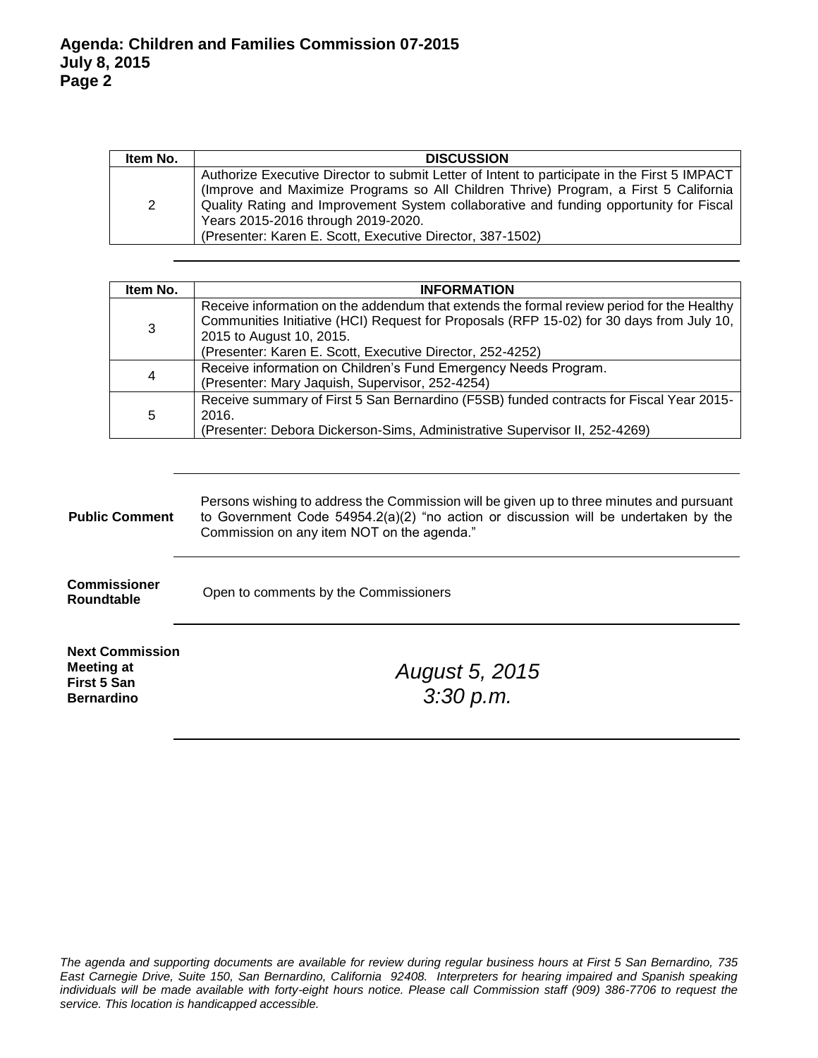| Item No.              | <b>DISCUSSION</b>                                                                                                                                                                                                                                                                                                                                                                   |  |  |
|-----------------------|-------------------------------------------------------------------------------------------------------------------------------------------------------------------------------------------------------------------------------------------------------------------------------------------------------------------------------------------------------------------------------------|--|--|
| $\mathbf{2}^{\prime}$ | Authorize Executive Director to submit Letter of Intent to participate in the First 5 IMPACT<br>(Improve and Maximize Programs so All Children Thrive) Program, a First 5 California<br>  Quality Rating and Improvement System collaborative and funding opportunity for Fiscal<br>Years 2015-2016 through 2019-2020.<br>(Presenter: Karen E. Scott, Executive Director, 387-1502) |  |  |

| Item No.                                                                                                                                                                            | <b>INFORMATION</b>                                                                                                                                                                                                                                                             |  |  |
|-------------------------------------------------------------------------------------------------------------------------------------------------------------------------------------|--------------------------------------------------------------------------------------------------------------------------------------------------------------------------------------------------------------------------------------------------------------------------------|--|--|
| 3                                                                                                                                                                                   | Receive information on the addendum that extends the formal review period for the Healthy<br>Communities Initiative (HCI) Request for Proposals (RFP 15-02) for 30 days from July 10,<br>2015 to August 10, 2015.<br>(Presenter: Karen E. Scott, Executive Director, 252-4252) |  |  |
| 4                                                                                                                                                                                   | Receive information on Children's Fund Emergency Needs Program.<br>(Presenter: Mary Jaquish, Supervisor, 252-4254)                                                                                                                                                             |  |  |
| Receive summary of First 5 San Bernardino (F5SB) funded contracts for Fiscal Year 2015-<br>5<br>2016.<br>(Presenter: Debora Dickerson-Sims, Administrative Supervisor II, 252-4269) |                                                                                                                                                                                                                                                                                |  |  |

| <b>Public Comment</b>                                                           | Persons wishing to address the Commission will be given up to three minutes and pursuant<br>to Government Code $54954.2(a)(2)$ "no action or discussion will be undertaken by the<br>Commission on any item NOT on the agenda." |  |  |  |
|---------------------------------------------------------------------------------|---------------------------------------------------------------------------------------------------------------------------------------------------------------------------------------------------------------------------------|--|--|--|
| <b>Commissioner</b><br>Roundtable                                               | Open to comments by the Commissioners                                                                                                                                                                                           |  |  |  |
| <b>Next Commission</b><br>Meeting at<br><b>First 5 San</b><br><b>Bernardino</b> | August 5, 2015<br>3:30 p.m.                                                                                                                                                                                                     |  |  |  |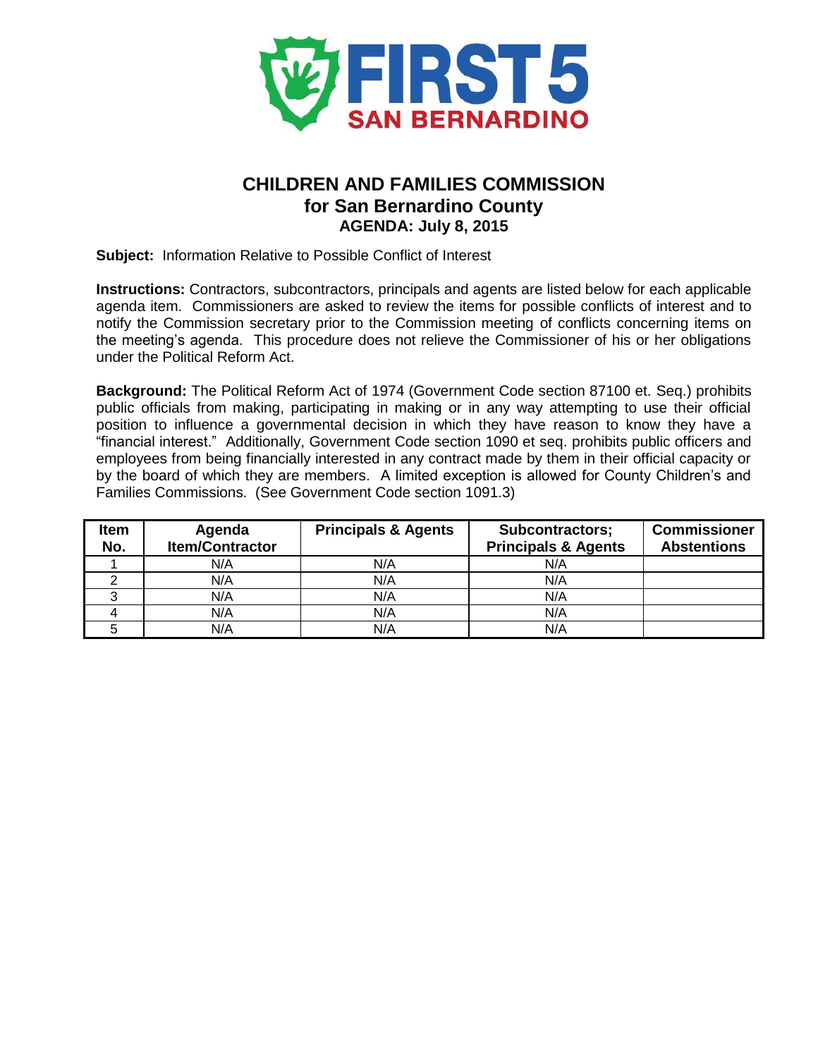

# **CHILDREN AND FAMILIES COMMISSION for San Bernardino County AGENDA: July 8, 2015**

**Subject:** Information Relative to Possible Conflict of Interest

**Instructions:** Contractors, subcontractors, principals and agents are listed below for each applicable agenda item. Commissioners are asked to review the items for possible conflicts of interest and to notify the Commission secretary prior to the Commission meeting of conflicts concerning items on the meeting's agenda. This procedure does not relieve the Commissioner of his or her obligations under the Political Reform Act.

**Background:** The Political Reform Act of 1974 (Government Code section 87100 et. Seq.) prohibits public officials from making, participating in making or in any way attempting to use their official position to influence a governmental decision in which they have reason to know they have a "financial interest." Additionally, Government Code section 1090 et seq. prohibits public officers and employees from being financially interested in any contract made by them in their official capacity or by the board of which they are members. A limited exception is allowed for County Children's and Families Commissions. (See Government Code section 1091.3)

| Item<br>No. | Agenda<br><b>Item/Contractor</b> | <b>Principals &amp; Agents</b> | <b>Subcontractors;</b><br><b>Principals &amp; Agents</b> | <b>Commissioner</b><br><b>Abstentions</b> |
|-------------|----------------------------------|--------------------------------|----------------------------------------------------------|-------------------------------------------|
|             | N/A                              | N/A                            | N/A                                                      |                                           |
|             | N/A                              | N/A                            | N/A                                                      |                                           |
|             | N/A                              | N/A                            | N/A                                                      |                                           |
|             | N/A                              | N/A                            | N/A                                                      |                                           |
|             | N/A                              | N/A                            | N/A                                                      |                                           |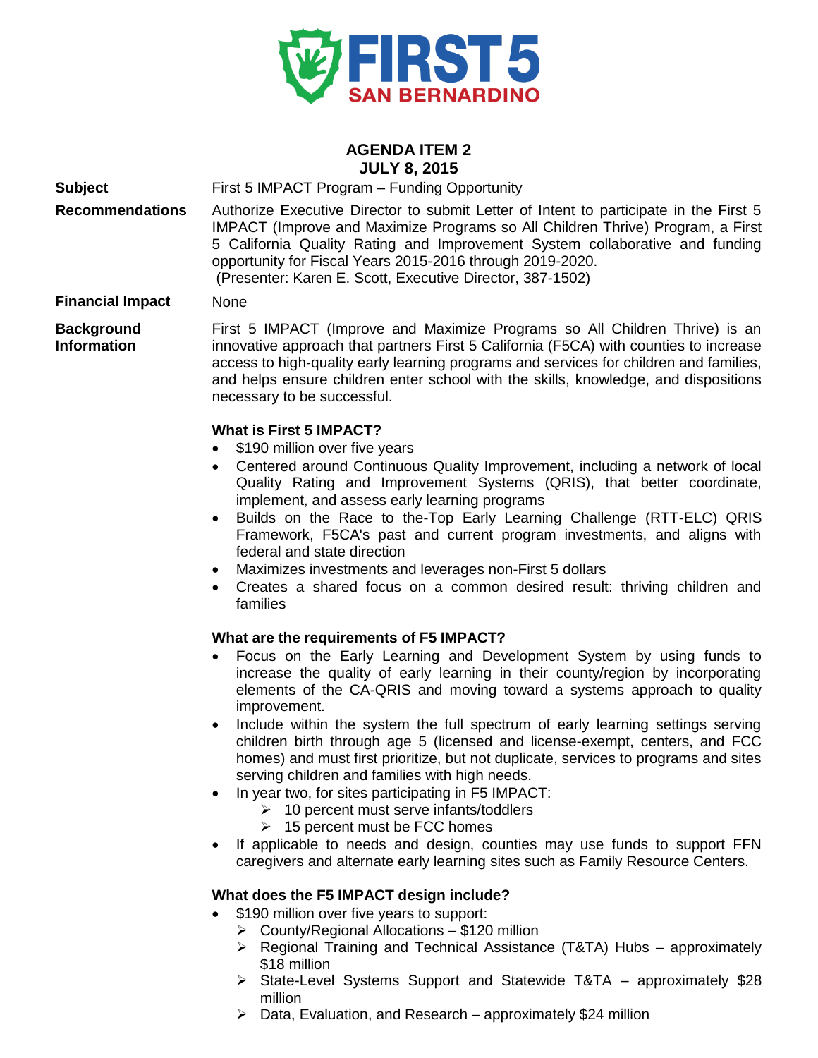

#### **AGENDA ITEM 2 JULY 8, 2015**

| <b>Subject</b>                          | First 5 IMPACT Program - Funding Opportunity                                                                                                                                                                                                                                                                                                                                         |  |  |
|-----------------------------------------|--------------------------------------------------------------------------------------------------------------------------------------------------------------------------------------------------------------------------------------------------------------------------------------------------------------------------------------------------------------------------------------|--|--|
| <b>Recommendations</b>                  | Authorize Executive Director to submit Letter of Intent to participate in the First 5<br>IMPACT (Improve and Maximize Programs so All Children Thrive) Program, a First<br>5 California Quality Rating and Improvement System collaborative and funding<br>opportunity for Fiscal Years 2015-2016 through 2019-2020.<br>(Presenter: Karen E. Scott, Executive Director, 387-1502)    |  |  |
| <b>Financial Impact</b>                 | None                                                                                                                                                                                                                                                                                                                                                                                 |  |  |
| <b>Background</b><br><b>Information</b> | First 5 IMPACT (Improve and Maximize Programs so All Children Thrive) is an<br>innovative approach that partners First 5 California (F5CA) with counties to increase<br>access to high-quality early learning programs and services for children and families,<br>and helps ensure children enter school with the skills, knowledge, and dispositions<br>necessary to be successful. |  |  |
|                                         | <b>What is First 5 IMPACT?</b>                                                                                                                                                                                                                                                                                                                                                       |  |  |
|                                         | \$190 million over five years                                                                                                                                                                                                                                                                                                                                                        |  |  |
|                                         | Centered around Continuous Quality Improvement, including a network of local<br>Quality Rating and Improvement Systems (QRIS), that better coordinate,<br>implement, and assess early learning programs                                                                                                                                                                              |  |  |
|                                         | Builds on the Race to the-Top Early Learning Challenge (RTT-ELC) QRIS<br>Framework, F5CA's past and current program investments, and aligns with<br>federal and state direction                                                                                                                                                                                                      |  |  |
|                                         | Maximizes investments and leverages non-First 5 dollars<br>Creates a shared focus on a common desired result: thriving children and<br>families                                                                                                                                                                                                                                      |  |  |
|                                         | What are the requirements of F5 IMPACT?                                                                                                                                                                                                                                                                                                                                              |  |  |
|                                         | Focus on the Early Learning and Development System by using funds to<br>increase the quality of early learning in their county/region by incorporating<br>elements of the CA-QRIS and moving toward a systems approach to quality<br>improvement.                                                                                                                                    |  |  |
|                                         | Include within the system the full spectrum of early learning settings serving<br>children birth through age 5 (licensed and license-exempt, centers, and FCC<br>homes) and must first prioritize, but not duplicate, services to programs and sites<br>serving children and families with high needs.                                                                               |  |  |
|                                         | In year two, for sites participating in F5 IMPACT:<br>$\geq$ 10 percent must serve infants/toddlers<br>15 percent must be FCC homes<br>➤                                                                                                                                                                                                                                             |  |  |
|                                         | If applicable to needs and design, counties may use funds to support FFN<br>caregivers and alternate early learning sites such as Family Resource Centers.                                                                                                                                                                                                                           |  |  |
|                                         | What does the F5 IMPACT design include?                                                                                                                                                                                                                                                                                                                                              |  |  |
|                                         | \$190 million over five years to support:                                                                                                                                                                                                                                                                                                                                            |  |  |
|                                         | $\triangleright$ County/Regional Allocations - \$120 million                                                                                                                                                                                                                                                                                                                         |  |  |
|                                         | $\triangleright$ Regional Training and Technical Assistance (T&TA) Hubs – approximately<br>\$18 million                                                                                                                                                                                                                                                                              |  |  |
|                                         | State-Level Systems Support and Statewide T&TA - approximately \$28<br>million                                                                                                                                                                                                                                                                                                       |  |  |

 $\triangleright$  Data, Evaluation, and Research – approximately \$24 million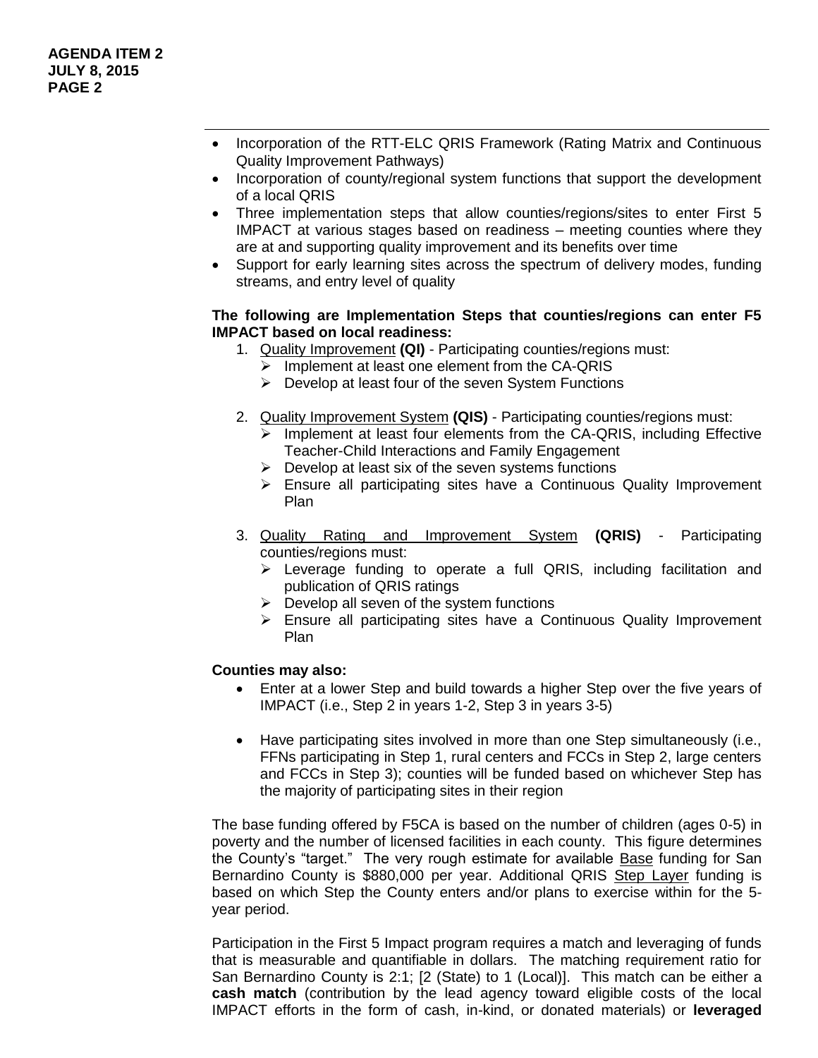- Incorporation of the RTT-ELC QRIS Framework (Rating Matrix and Continuous Quality Improvement Pathways)
- Incorporation of county/regional system functions that support the development of a local QRIS
- Three implementation steps that allow counties/regions/sites to enter First 5 IMPACT at various stages based on readiness – meeting counties where they are at and supporting quality improvement and its benefits over time
- Support for early learning sites across the spectrum of delivery modes, funding streams, and entry level of quality

#### **The following are Implementation Steps that counties/regions can enter F5 IMPACT based on local readiness:**

- 1. Quality Improvement **(QI)** Participating counties/regions must:
	- $\triangleright$  Implement at least one element from the CA-QRIS
	- $\triangleright$  Develop at least four of the seven System Functions
- 2. Quality Improvement System **(QIS)** Participating counties/regions must:
	- Implement at least four elements from the CA-QRIS, including Effective Teacher-Child Interactions and Family Engagement
	- $\triangleright$  Develop at least six of the seven systems functions
	- Ensure all participating sites have a Continuous Quality Improvement Plan
- 3. Quality Rating and Improvement System **(QRIS)** Participating counties/regions must:
	- $\triangleright$  Leverage funding to operate a full QRIS, including facilitation and publication of QRIS ratings
	- $\triangleright$  Develop all seven of the system functions
	- $\triangleright$  Ensure all participating sites have a Continuous Quality Improvement Plan

#### **Counties may also:**

- Enter at a lower Step and build towards a higher Step over the five years of IMPACT (i.e., Step 2 in years 1-2, Step 3 in years 3-5)
- Have participating sites involved in more than one Step simultaneously (i.e., FFNs participating in Step 1, rural centers and FCCs in Step 2, large centers and FCCs in Step 3); counties will be funded based on whichever Step has the majority of participating sites in their region

The base funding offered by F5CA is based on the number of children (ages 0-5) in poverty and the number of licensed facilities in each county. This figure determines the County's "target." The very rough estimate for available Base funding for San Bernardino County is \$880,000 per year. Additional QRIS Step Layer funding is based on which Step the County enters and/or plans to exercise within for the 5 year period.

Participation in the First 5 Impact program requires a match and leveraging of funds that is measurable and quantifiable in dollars. The matching requirement ratio for San Bernardino County is 2:1; [2 (State) to 1 (Local)]. This match can be either a **cash match** (contribution by the lead agency toward eligible costs of the local IMPACT efforts in the form of cash, in-kind, or donated materials) or **leveraged**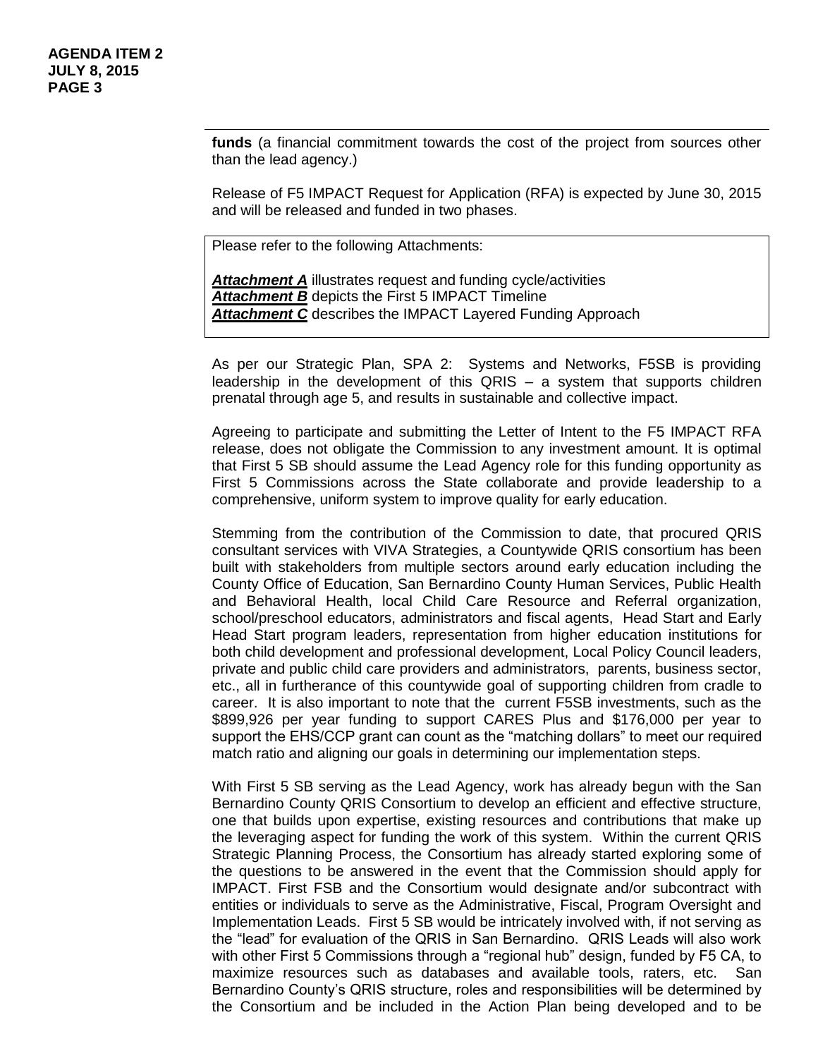**funds** (a financial commitment towards the cost of the project from sources other than the lead agency.)

Release of F5 IMPACT Request for Application (RFA) is expected by June 30, 2015 and will be released and funded in two phases.

Please refer to the following Attachments:

*Attachment A* illustrates request and funding cycle/activities *Attachment B* depicts the First 5 IMPACT Timeline *Attachment C* describes the IMPACT Layered Funding Approach

As per our Strategic Plan, SPA 2: Systems and Networks, F5SB is providing leadership in the development of this QRIS – a system that supports children prenatal through age 5, and results in sustainable and collective impact.

Agreeing to participate and submitting the Letter of Intent to the F5 IMPACT RFA release, does not obligate the Commission to any investment amount. It is optimal that First 5 SB should assume the Lead Agency role for this funding opportunity as First 5 Commissions across the State collaborate and provide leadership to a comprehensive, uniform system to improve quality for early education.

Stemming from the contribution of the Commission to date, that procured QRIS consultant services with VIVA Strategies, a Countywide QRIS consortium has been built with stakeholders from multiple sectors around early education including the County Office of Education, San Bernardino County Human Services, Public Health and Behavioral Health, local Child Care Resource and Referral organization, school/preschool educators, administrators and fiscal agents, Head Start and Early Head Start program leaders, representation from higher education institutions for both child development and professional development, Local Policy Council leaders, private and public child care providers and administrators, parents, business sector, etc., all in furtherance of this countywide goal of supporting children from cradle to career. It is also important to note that the current F5SB investments, such as the \$899,926 per year funding to support CARES Plus and \$176,000 per year to support the EHS/CCP grant can count as the "matching dollars" to meet our required match ratio and aligning our goals in determining our implementation steps.

With First 5 SB serving as the Lead Agency, work has already begun with the San Bernardino County QRIS Consortium to develop an efficient and effective structure, one that builds upon expertise, existing resources and contributions that make up the leveraging aspect for funding the work of this system. Within the current QRIS Strategic Planning Process, the Consortium has already started exploring some of the questions to be answered in the event that the Commission should apply for IMPACT. First FSB and the Consortium would designate and/or subcontract with entities or individuals to serve as the Administrative, Fiscal, Program Oversight and Implementation Leads. First 5 SB would be intricately involved with, if not serving as the "lead" for evaluation of the QRIS in San Bernardino. QRIS Leads will also work with other First 5 Commissions through a "regional hub" design, funded by F5 CA, to maximize resources such as databases and available tools, raters, etc. San Bernardino County's QRIS structure, roles and responsibilities will be determined by the Consortium and be included in the Action Plan being developed and to be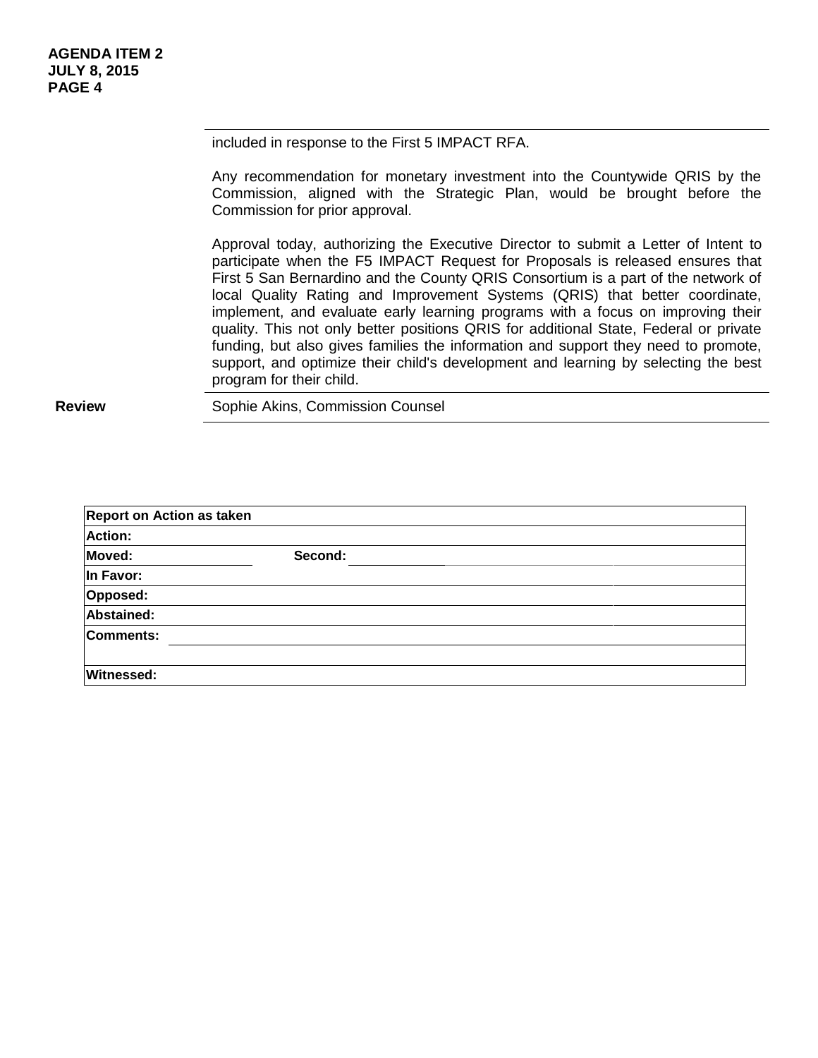included in response to the First 5 IMPACT RFA.

Any recommendation for monetary investment into the Countywide QRIS by the Commission, aligned with the Strategic Plan, would be brought before the Commission for prior approval.

Approval today, authorizing the Executive Director to submit a Letter of Intent to participate when the F5 IMPACT Request for Proposals is released ensures that First 5 San Bernardino and the County QRIS Consortium is a part of the network of local Quality Rating and Improvement Systems (QRIS) that better coordinate, implement, and evaluate early learning programs with a focus on improving their quality. This not only better positions QRIS for additional State, Federal or private funding, but also gives families the information and support they need to promote, support, and optimize their child's development and learning by selecting the best program for their child.

| <b>Report on Action as taken</b> |         |  |
|----------------------------------|---------|--|
| <b>Action:</b>                   |         |  |
| Moved:                           | Second: |  |
| In Favor:                        |         |  |
| Opposed:                         |         |  |
| Abstained:                       |         |  |
| <b>Comments:</b>                 |         |  |
|                                  |         |  |
| <b>Witnessed:</b>                |         |  |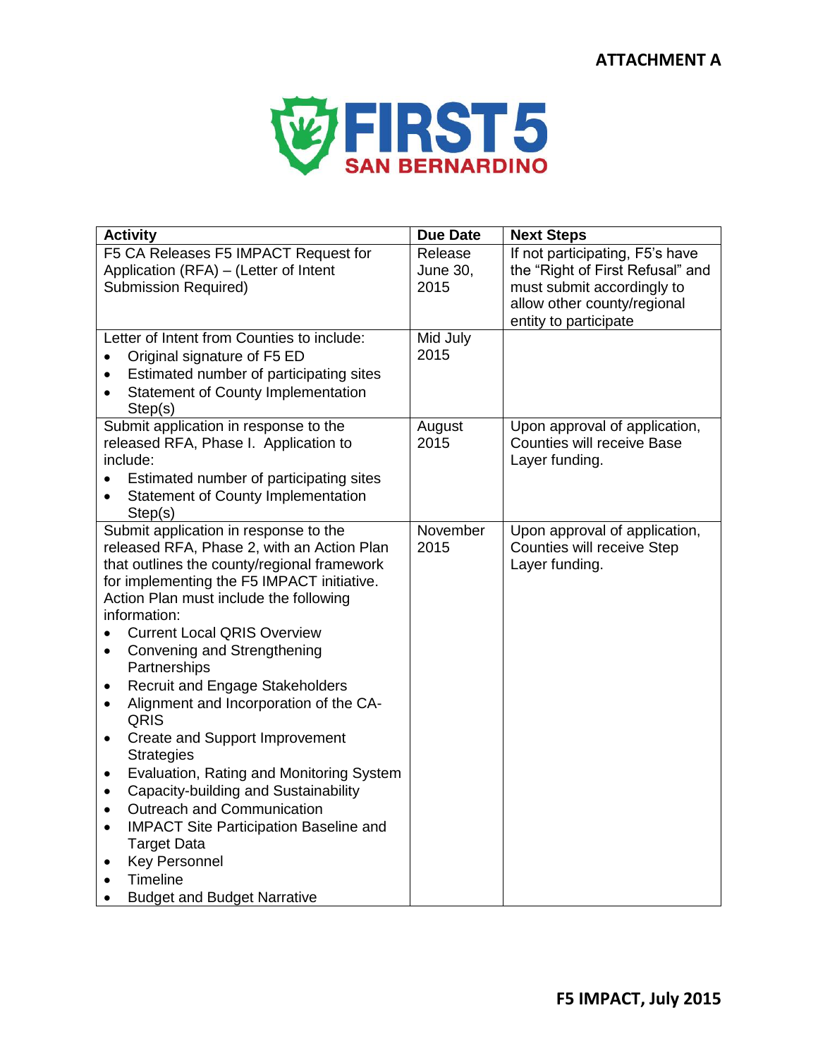# **ATTACHMENT A**



| <b>Activity</b>                                                                                                                                                                                                                                                                                                                                                                                                                                                                                                                                                                                                                                                                                                                                                                                                                                                                         | <b>Due Date</b>             | <b>Next Steps</b>                                                                                                                                         |
|-----------------------------------------------------------------------------------------------------------------------------------------------------------------------------------------------------------------------------------------------------------------------------------------------------------------------------------------------------------------------------------------------------------------------------------------------------------------------------------------------------------------------------------------------------------------------------------------------------------------------------------------------------------------------------------------------------------------------------------------------------------------------------------------------------------------------------------------------------------------------------------------|-----------------------------|-----------------------------------------------------------------------------------------------------------------------------------------------------------|
| F5 CA Releases F5 IMPACT Request for<br>Application (RFA) - (Letter of Intent<br><b>Submission Required)</b>                                                                                                                                                                                                                                                                                                                                                                                                                                                                                                                                                                                                                                                                                                                                                                            | Release<br>June 30,<br>2015 | If not participating, F5's have<br>the "Right of First Refusal" and<br>must submit accordingly to<br>allow other county/regional<br>entity to participate |
| Letter of Intent from Counties to include:<br>Original signature of F5 ED<br>Estimated number of participating sites<br>$\bullet$<br><b>Statement of County Implementation</b><br>$\bullet$<br>Step(s)                                                                                                                                                                                                                                                                                                                                                                                                                                                                                                                                                                                                                                                                                  | Mid July<br>2015            |                                                                                                                                                           |
| Submit application in response to the<br>released RFA, Phase I. Application to<br>include:<br>Estimated number of participating sites<br><b>Statement of County Implementation</b><br>Step(s)                                                                                                                                                                                                                                                                                                                                                                                                                                                                                                                                                                                                                                                                                           | August<br>2015              | Upon approval of application,<br><b>Counties will receive Base</b><br>Layer funding.                                                                      |
| Submit application in response to the<br>released RFA, Phase 2, with an Action Plan<br>that outlines the county/regional framework<br>for implementing the F5 IMPACT initiative.<br>Action Plan must include the following<br>information:<br><b>Current Local QRIS Overview</b><br>$\bullet$<br>Convening and Strengthening<br>$\bullet$<br>Partnerships<br><b>Recruit and Engage Stakeholders</b><br>$\bullet$<br>Alignment and Incorporation of the CA-<br>$\bullet$<br>QRIS<br>Create and Support Improvement<br>$\bullet$<br><b>Strategies</b><br>Evaluation, Rating and Monitoring System<br>$\bullet$<br>Capacity-building and Sustainability<br>$\bullet$<br>Outreach and Communication<br>$\bullet$<br><b>IMPACT Site Participation Baseline and</b><br>$\bullet$<br><b>Target Data</b><br><b>Key Personnel</b><br>$\bullet$<br>Timeline<br><b>Budget and Budget Narrative</b> | November<br>2015            | Upon approval of application,<br>Counties will receive Step<br>Layer funding.                                                                             |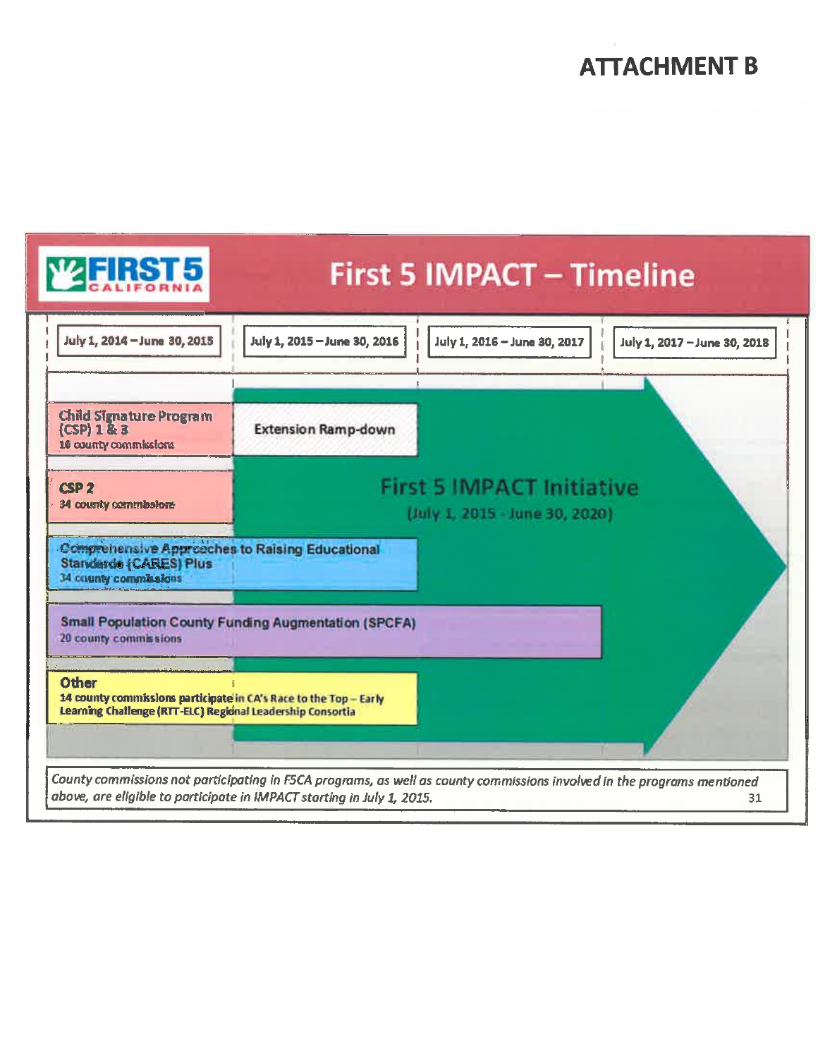# **ATTACHMENT B**



31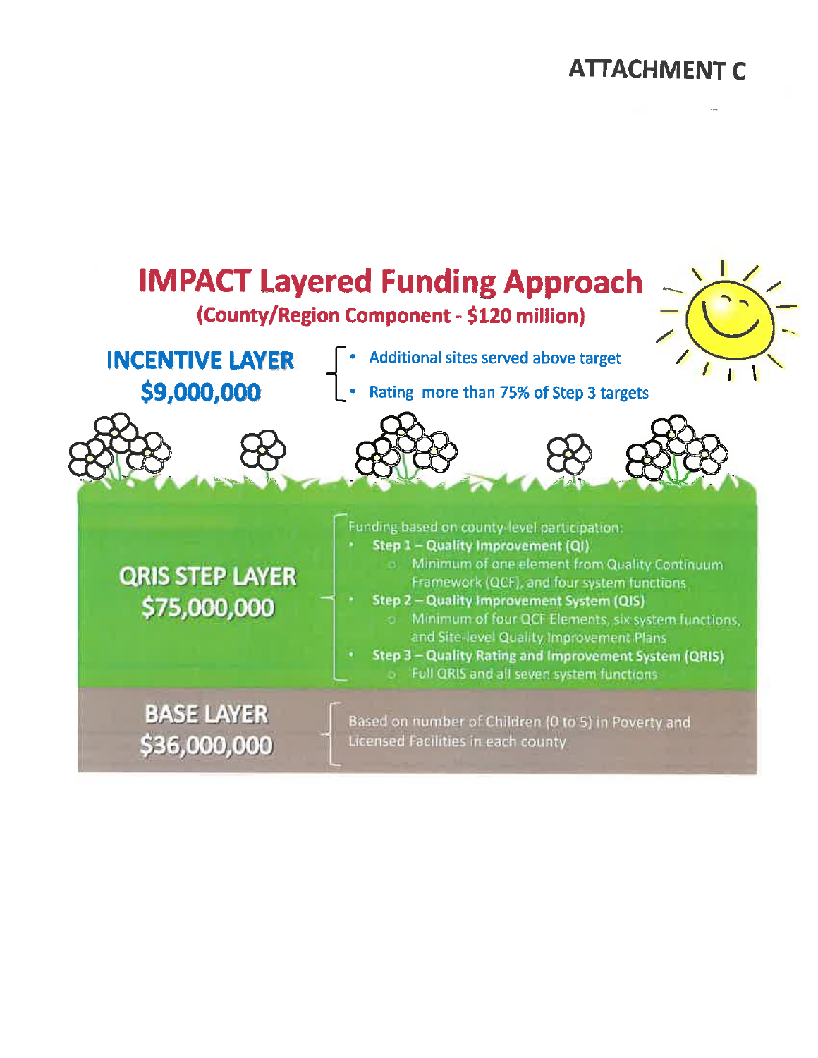# **ATTACHMENT C**

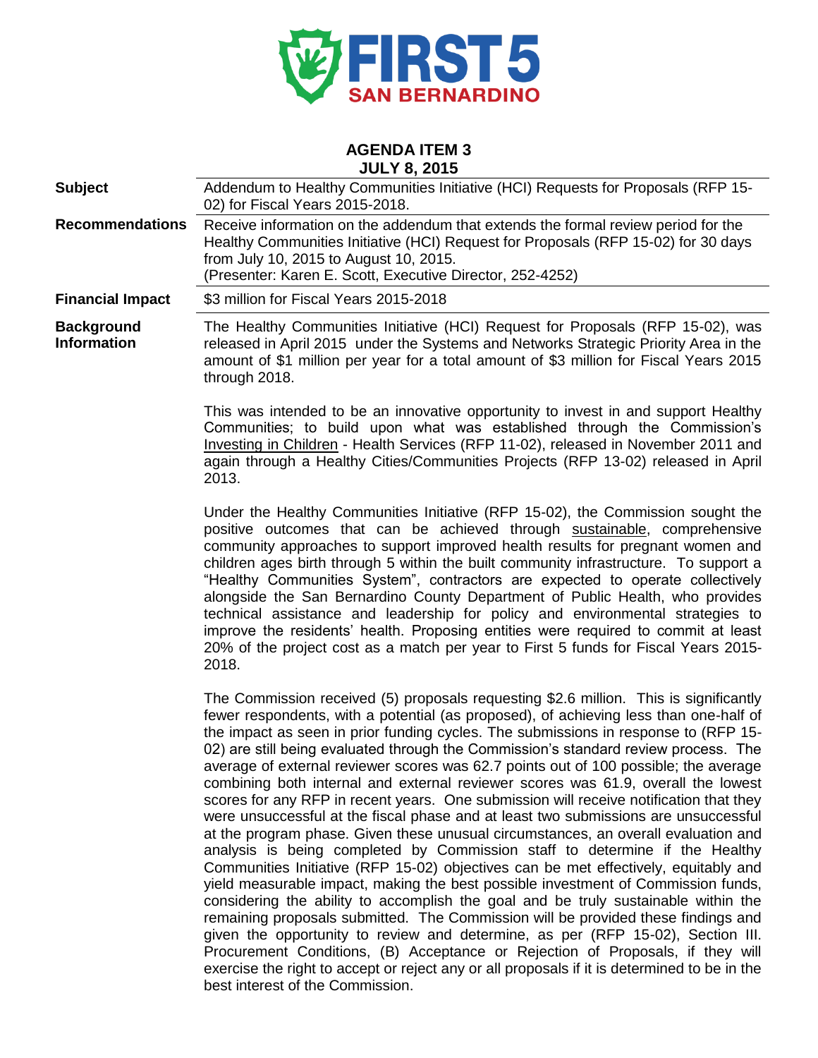

#### **AGENDA ITEM 3 JULY 8, 2015**

| <b>Subject</b>                                                                                                                                                                                                                                                                                           | Addendum to Healthy Communities Initiative (HCI) Requests for Proposals (RFP 15-<br>02) for Fiscal Years 2015-2018.                                                                                                                                                                |  |
|----------------------------------------------------------------------------------------------------------------------------------------------------------------------------------------------------------------------------------------------------------------------------------------------------------|------------------------------------------------------------------------------------------------------------------------------------------------------------------------------------------------------------------------------------------------------------------------------------|--|
| Receive information on the addendum that extends the formal review period for the<br><b>Recommendations</b><br>Healthy Communities Initiative (HCI) Request for Proposals (RFP 15-02) for 30 days<br>from July 10, 2015 to August 10, 2015.<br>(Presenter: Karen E. Scott, Executive Director, 252-4252) |                                                                                                                                                                                                                                                                                    |  |
| <b>Financial Impact</b>                                                                                                                                                                                                                                                                                  | \$3 million for Fiscal Years 2015-2018                                                                                                                                                                                                                                             |  |
| <b>Background</b><br><b>Information</b>                                                                                                                                                                                                                                                                  | The Healthy Communities Initiative (HCI) Request for Proposals (RFP 15-02), was<br>released in April 2015 under the Systems and Networks Strategic Priority Area in the<br>amount of \$1 million per year for a total amount of \$3 million for Fiscal Years 2015<br>through 2018. |  |
|                                                                                                                                                                                                                                                                                                          | This was intended to be an innovative eppertunity to invest in and support Hoolthy                                                                                                                                                                                                 |  |

This was intended to be an innovative opportunity to invest in and support Healthy Communities; to build upon what was established through the Commission's Investing in Children - Health Services (RFP 11-02), released in November 2011 and again through a Healthy Cities/Communities Projects (RFP 13-02) released in April 2013.

Under the Healthy Communities Initiative (RFP 15-02), the Commission sought the positive outcomes that can be achieved through sustainable, comprehensive community approaches to support improved health results for pregnant women and children ages birth through 5 within the built community infrastructure. To support a "Healthy Communities System", contractors are expected to operate collectively alongside the San Bernardino County Department of Public Health, who provides technical assistance and leadership for policy and environmental strategies to improve the residents' health. Proposing entities were required to commit at least 20% of the project cost as a match per year to First 5 funds for Fiscal Years 2015- 2018.

The Commission received (5) proposals requesting \$2.6 million. This is significantly fewer respondents, with a potential (as proposed), of achieving less than one-half of the impact as seen in prior funding cycles. The submissions in response to (RFP 15- 02) are still being evaluated through the Commission's standard review process. The average of external reviewer scores was 62.7 points out of 100 possible; the average combining both internal and external reviewer scores was 61.9, overall the lowest scores for any RFP in recent years. One submission will receive notification that they were unsuccessful at the fiscal phase and at least two submissions are unsuccessful at the program phase. Given these unusual circumstances, an overall evaluation and analysis is being completed by Commission staff to determine if the Healthy Communities Initiative (RFP 15-02) objectives can be met effectively, equitably and yield measurable impact, making the best possible investment of Commission funds, considering the ability to accomplish the goal and be truly sustainable within the remaining proposals submitted. The Commission will be provided these findings and given the opportunity to review and determine, as per (RFP 15-02), Section III. Procurement Conditions, (B) Acceptance or Rejection of Proposals, if they will exercise the right to accept or reject any or all proposals if it is determined to be in the best interest of the Commission.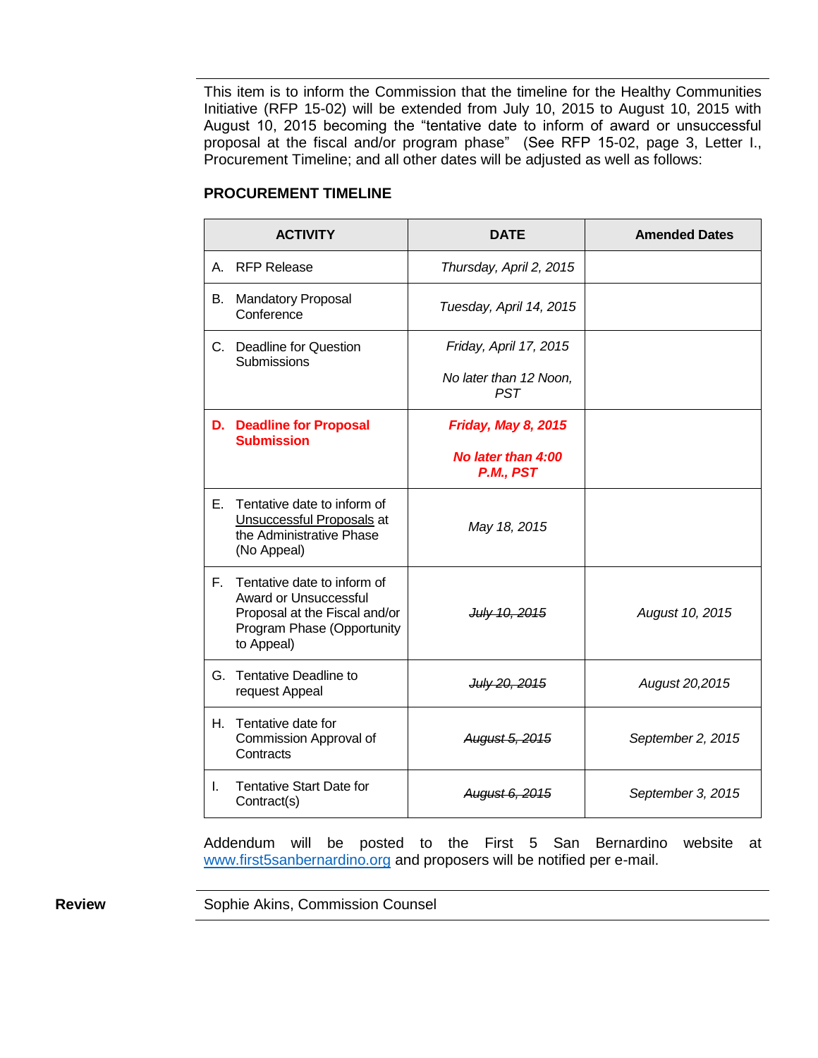This item is to inform the Commission that the timeline for the Healthy Communities Initiative (RFP 15-02) will be extended from July 10, 2015 to August 10, 2015 with August 10, 2015 becoming the "tentative date to inform of award or unsuccessful proposal at the fiscal and/or program phase" (See RFP 15-02, page 3, Letter I., Procurement Timeline; and all other dates will be adjusted as well as follows:

| <b>ACTIVITY</b> |                                                                                                                                          | <b>DATE</b>                          | <b>Amended Dates</b> |
|-----------------|------------------------------------------------------------------------------------------------------------------------------------------|--------------------------------------|----------------------|
|                 | A. RFP Release                                                                                                                           | Thursday, April 2, 2015              |                      |
| B.              | <b>Mandatory Proposal</b><br>Conference                                                                                                  | Tuesday, April 14, 2015              |                      |
|                 | C. Deadline for Question<br>Submissions                                                                                                  | Friday, April 17, 2015               |                      |
|                 |                                                                                                                                          | No later than 12 Noon,<br><b>PST</b> |                      |
|                 | <b>D.</b> Deadline for Proposal<br><b>Submission</b>                                                                                     | <b>Friday, May 8, 2015</b>           |                      |
|                 |                                                                                                                                          | No later than 4:00<br>P.M., PST      |                      |
| Е.              | Tentative date to inform of<br>Unsuccessful Proposals at<br>the Administrative Phase<br>(No Appeal)                                      | May 18, 2015                         |                      |
| F.              | Tentative date to inform of<br><b>Award or Unsuccessful</b><br>Proposal at the Fiscal and/or<br>Program Phase (Opportunity<br>to Appeal) | July 10, 2015                        | August 10, 2015      |
|                 | G. Tentative Deadline to<br>request Appeal                                                                                               | July 20, 2015                        | August 20,2015       |
| H. .            | Tentative date for<br>Commission Approval of<br>Contracts                                                                                | August 5, 2015                       | September 2, 2015    |
| L.              | Tentative Start Date for<br>Contract(s)                                                                                                  | August 6, 2015                       | September 3, 2015    |

#### **I. PROCUREMENT TIMELINE**

Addendum will be posted to the First 5 San Bernardino website at [www.first5sanbernardino.org](http://www.first5sanbernardino.org/) and proposers will be notified per e-mail.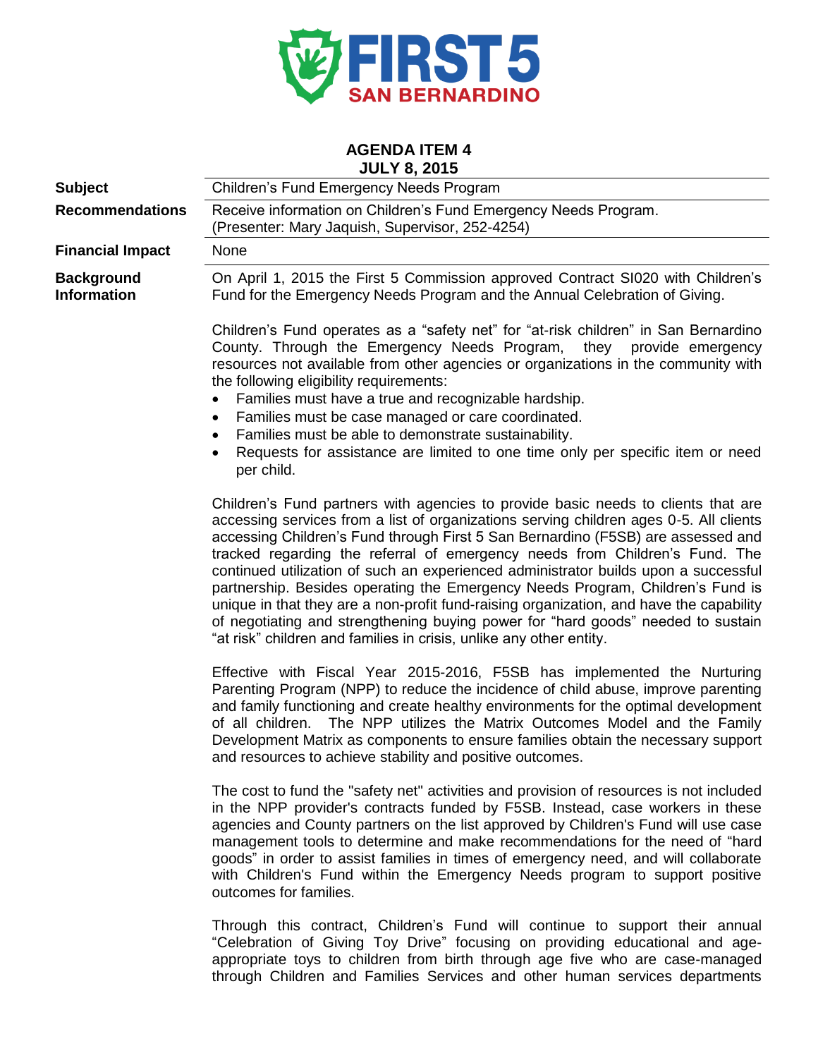

# **AGENDA ITEM 4**

|                                         | <b>JULY 8, 2015</b>                                                                                                                                                                                                                                                                                                                                                                                                                                                                                                                                                                                                                                                                                                                                                           |
|-----------------------------------------|-------------------------------------------------------------------------------------------------------------------------------------------------------------------------------------------------------------------------------------------------------------------------------------------------------------------------------------------------------------------------------------------------------------------------------------------------------------------------------------------------------------------------------------------------------------------------------------------------------------------------------------------------------------------------------------------------------------------------------------------------------------------------------|
| <b>Subject</b>                          | <b>Children's Fund Emergency Needs Program</b>                                                                                                                                                                                                                                                                                                                                                                                                                                                                                                                                                                                                                                                                                                                                |
| <b>Recommendations</b>                  | Receive information on Children's Fund Emergency Needs Program.<br>(Presenter: Mary Jaquish, Supervisor, 252-4254)                                                                                                                                                                                                                                                                                                                                                                                                                                                                                                                                                                                                                                                            |
| <b>Financial Impact</b>                 | None                                                                                                                                                                                                                                                                                                                                                                                                                                                                                                                                                                                                                                                                                                                                                                          |
| <b>Background</b><br><b>Information</b> | On April 1, 2015 the First 5 Commission approved Contract SI020 with Children's<br>Fund for the Emergency Needs Program and the Annual Celebration of Giving.                                                                                                                                                                                                                                                                                                                                                                                                                                                                                                                                                                                                                 |
|                                         | Children's Fund operates as a "safety net" for "at-risk children" in San Bernardino<br>County. Through the Emergency Needs Program, they provide emergency<br>resources not available from other agencies or organizations in the community with<br>the following eligibility requirements:<br>Families must have a true and recognizable hardship.<br>Families must be case managed or care coordinated.<br>٠<br>Families must be able to demonstrate sustainability.<br>٠<br>Requests for assistance are limited to one time only per specific item or need<br>٠<br>per child.                                                                                                                                                                                              |
|                                         | Children's Fund partners with agencies to provide basic needs to clients that are<br>accessing services from a list of organizations serving children ages 0-5. All clients<br>accessing Children's Fund through First 5 San Bernardino (F5SB) are assessed and<br>tracked regarding the referral of emergency needs from Children's Fund. The<br>continued utilization of such an experienced administrator builds upon a successful<br>partnership. Besides operating the Emergency Needs Program, Children's Fund is<br>unique in that they are a non-profit fund-raising organization, and have the capability<br>of negotiating and strengthening buying power for "hard goods" needed to sustain<br>"at risk" children and families in crisis, unlike any other entity. |
|                                         | Effective with Fiscal Year 2015-2016, F5SB has implemented the Nurturing<br>Parenting Program (NPP) to reduce the incidence of child abuse, improve parenting<br>and family functioning and create healthy environments for the optimal development<br>The NPP utilizes the Matrix Outcomes Model and the Family<br>of all children.<br>Development Matrix as components to ensure families obtain the necessary support<br>and resources to achieve stability and positive outcomes.                                                                                                                                                                                                                                                                                         |
|                                         | The cost to fund the "safety net" activities and provision of resources is not included<br>in the NPP provider's contracts funded by F5SB. Instead, case workers in these<br>agencies and County partners on the list approved by Children's Fund will use case<br>management tools to determine and make recommendations for the need of "hard<br>goods" in order to assist families in times of emergency need, and will collaborate<br>with Children's Fund within the Emergency Needs program to support positive<br>outcomes for families.                                                                                                                                                                                                                               |
|                                         | sending of Chattains who From it will be active                                                                                                                                                                                                                                                                                                                                                                                                                                                                                                                                                                                                                                                                                                                               |

Through this contract, Children's Fund will continue to support their annual "Celebration of Giving Toy Drive" focusing on providing educational and ageappropriate toys to children from birth through age five who are case-managed through Children and Families Services and other human services departments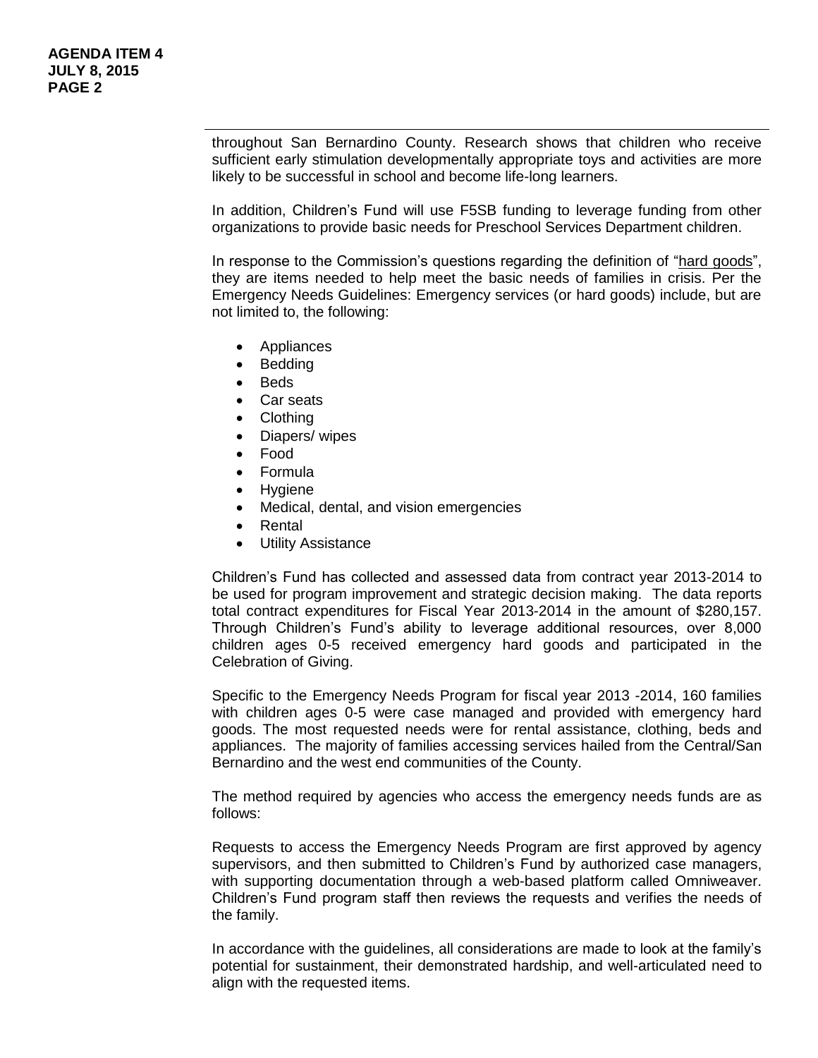throughout San Bernardino County. Research shows that children who receive sufficient early stimulation developmentally appropriate toys and activities are more likely to be successful in school and become life-long learners.

In addition, Children's Fund will use F5SB funding to leverage funding from other organizations to provide basic needs for Preschool Services Department children.

In response to the Commission's questions regarding the definition of "hard goods", they are items needed to help meet the basic needs of families in crisis. Per the Emergency Needs Guidelines: Emergency services (or hard goods) include, but are not limited to, the following:

- Appliances
- Bedding
- Beds
- Car seats
- Clothing
- Diapers/ wipes
- Food
- Formula
- Hygiene
- Medical, dental, and vision emergencies
- Rental
- Utility Assistance

Children's Fund has collected and assessed data from contract year 2013-2014 to be used for program improvement and strategic decision making. The data reports total contract expenditures for Fiscal Year 2013-2014 in the amount of \$280,157. Through Children's Fund's ability to leverage additional resources, over 8,000 children ages 0-5 received emergency hard goods and participated in the Celebration of Giving.

Specific to the Emergency Needs Program for fiscal year 2013 -2014, 160 families with children ages 0-5 were case managed and provided with emergency hard goods. The most requested needs were for rental assistance, clothing, beds and appliances. The majority of families accessing services hailed from the Central/San Bernardino and the west end communities of the County.

The method required by agencies who access the emergency needs funds are as follows:

Requests to access the Emergency Needs Program are first approved by agency supervisors, and then submitted to Children's Fund by authorized case managers, with supporting documentation through a web-based platform called Omniweaver. Children's Fund program staff then reviews the requests and verifies the needs of the family.

In accordance with the guidelines, all considerations are made to look at the family's potential for sustainment, their demonstrated hardship, and well-articulated need to align with the requested items.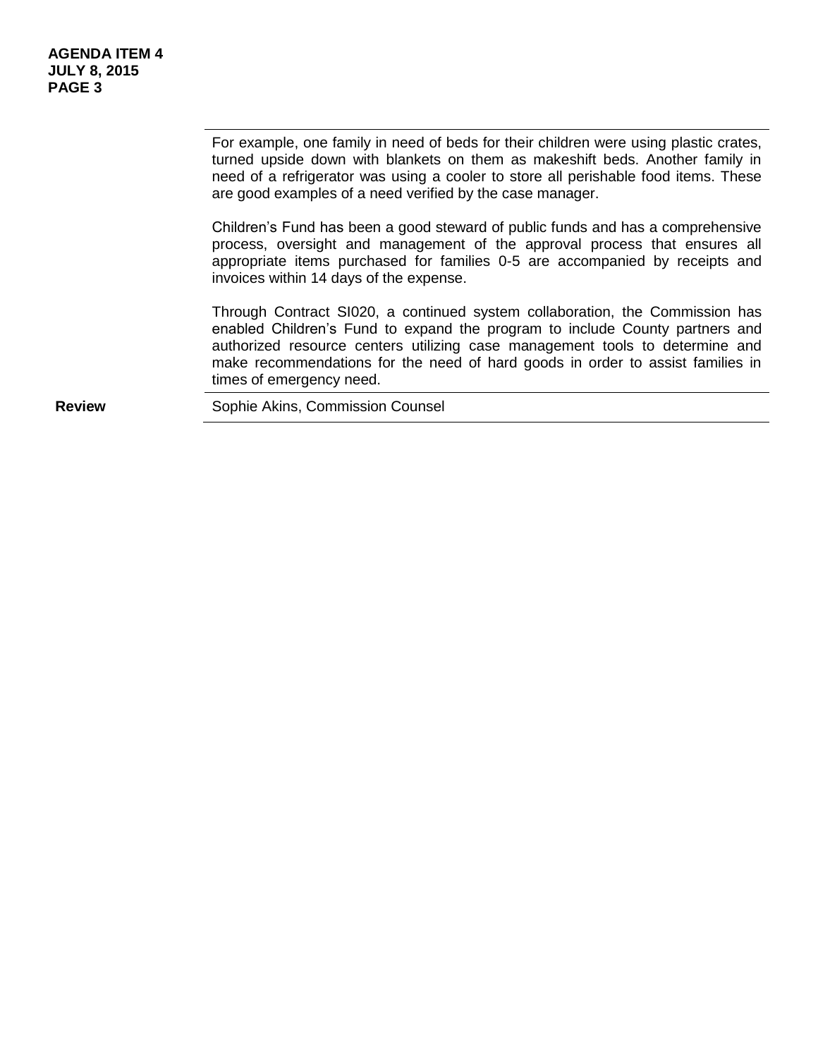For example, one family in need of beds for their children were using plastic crates, turned upside down with blankets on them as makeshift beds. Another family in need of a refrigerator was using a cooler to store all perishable food items. These are good examples of a need verified by the case manager.

Children's Fund has been a good steward of public funds and has a comprehensive process, oversight and management of the approval process that ensures all appropriate items purchased for families 0-5 are accompanied by receipts and invoices within 14 days of the expense.

Through Contract SI020, a continued system collaboration, the Commission has enabled Children's Fund to expand the program to include County partners and authorized resource centers utilizing case management tools to determine and make recommendations for the need of hard goods in order to assist families in times of emergency need.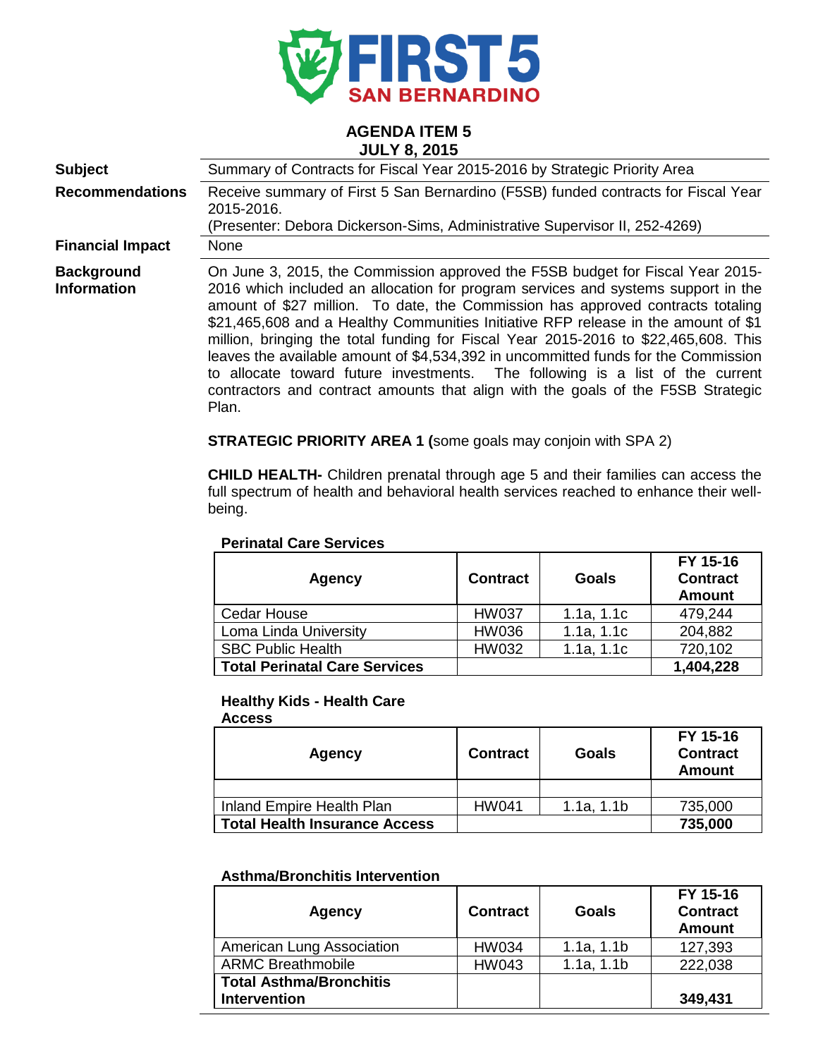

#### **AGENDA ITEM 5 JULY 8, 2015**

| <b>Subject</b>                          | Summary of Contracts for Fiscal Year 2015-2016 by Strategic Priority Area                                                                                                                                                                                                                                                                                                                                                                                                                                                                                                                                                                                                                               |
|-----------------------------------------|---------------------------------------------------------------------------------------------------------------------------------------------------------------------------------------------------------------------------------------------------------------------------------------------------------------------------------------------------------------------------------------------------------------------------------------------------------------------------------------------------------------------------------------------------------------------------------------------------------------------------------------------------------------------------------------------------------|
| <b>Recommendations</b>                  | Receive summary of First 5 San Bernardino (F5SB) funded contracts for Fiscal Year<br>2015-2016.<br>(Presenter: Debora Dickerson-Sims, Administrative Supervisor II, 252-4269)                                                                                                                                                                                                                                                                                                                                                                                                                                                                                                                           |
| <b>Financial Impact</b>                 | None                                                                                                                                                                                                                                                                                                                                                                                                                                                                                                                                                                                                                                                                                                    |
| <b>Background</b><br><b>Information</b> | On June 3, 2015, the Commission approved the F5SB budget for Fiscal Year 2015-<br>2016 which included an allocation for program services and systems support in the<br>amount of \$27 million. To date, the Commission has approved contracts totaling<br>\$21,465,608 and a Healthy Communities Initiative RFP release in the amount of \$1<br>million, bringing the total funding for Fiscal Year 2015-2016 to \$22,465,608. This<br>leaves the available amount of \$4,534,392 in uncommitted funds for the Commission<br>to allocate toward future investments. The following is a list of the current<br>contractors and contract amounts that align with the goals of the F5SB Strategic<br>Plan. |

**STRATEGIC PRIORITY AREA 1 (**some goals may conjoin with SPA 2)

**CHILD HEALTH-** Children prenatal through age 5 and their families can access the full spectrum of health and behavioral health services reached to enhance their wellbeing.

#### **Perinatal Care Services**

| <b>Agency</b>                        | <b>Contract</b> | <b>Goals</b> | FY 15-16<br><b>Contract</b><br><b>Amount</b> |
|--------------------------------------|-----------------|--------------|----------------------------------------------|
| Cedar House                          | <b>HW037</b>    | 1.1a, 1.1c   | 479,244                                      |
| Loma Linda University                | <b>HW036</b>    | 1.1a, 1.1c   | 204,882                                      |
| <b>SBC Public Health</b>             | <b>HW032</b>    | 1.1a, 1.1c   | 720,102                                      |
| <b>Total Perinatal Care Services</b> |                 |              | 1,404,228                                    |

#### **Healthy Kids - Health Care**

| <b>Access</b>                        |                 |              |                                              |
|--------------------------------------|-----------------|--------------|----------------------------------------------|
| Agency                               | <b>Contract</b> | <b>Goals</b> | FY 15-16<br><b>Contract</b><br><b>Amount</b> |
|                                      |                 |              |                                              |
| Inland Empire Health Plan            | <b>HW041</b>    | 1.1a, 1.1b   | 735,000                                      |
| <b>Total Health Insurance Access</b> |                 |              | 735,000                                      |

#### **Asthma/Bronchitis Intervention**

| Agency                                                | <b>Contract</b> | <b>Goals</b> | FY 15-16<br><b>Contract</b><br><b>Amount</b> |
|-------------------------------------------------------|-----------------|--------------|----------------------------------------------|
| American Lung Association                             | <b>HW034</b>    | 1.1a, 1.1b   | 127,393                                      |
| <b>ARMC Breathmobile</b>                              | <b>HW043</b>    | 1.1a, 1.1b   | 222,038                                      |
| <b>Total Asthma/Bronchitis</b><br><b>Intervention</b> |                 |              | 349,431                                      |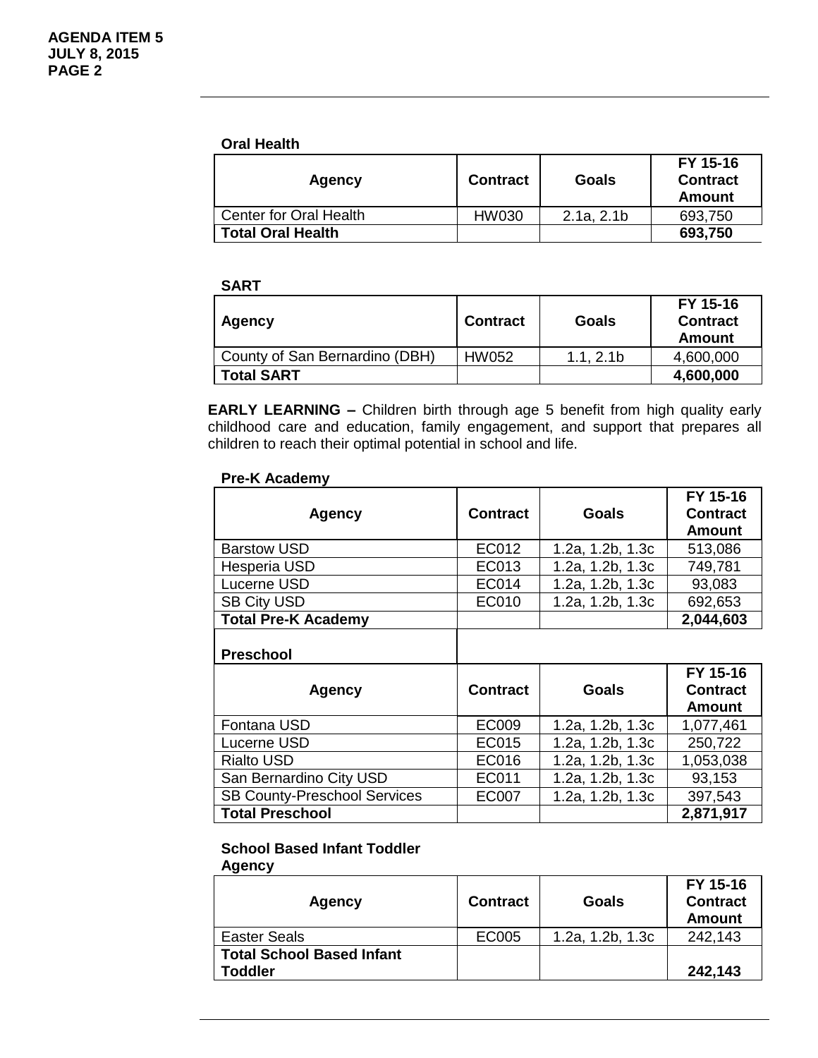#### **Oral Health**

| <b>Agency</b>            | <b>Contract</b> | Goals      | FY 15-16<br><b>Contract</b><br>Amount |
|--------------------------|-----------------|------------|---------------------------------------|
| Center for Oral Health   | HW030           | 2.1a, 2.1b | 693,750                               |
| <b>Total Oral Health</b> |                 |            | 693,750                               |

#### **SART**

| <b>Agency</b>                  | <b>Contract</b> | Goals     | FY 15-16<br><b>Contract</b><br>Amount |
|--------------------------------|-----------------|-----------|---------------------------------------|
| County of San Bernardino (DBH) | HW052           | 1.1, 2.1b | 4,600,000                             |
| <b>Total SART</b>              |                 |           | 4,600,000                             |

**EARLY LEARNING –** Children birth through age 5 benefit from high quality early childhood care and education, family engagement, and support that prepares all children to reach their optimal potential in school and life.

#### **Pre-K Academy**

| <b>Contract</b> | Goals            | FY 15-16<br><b>Contract</b><br><b>Amount</b> |
|-----------------|------------------|----------------------------------------------|
| EC012           | 1.2a, 1.2b, 1.3c | 513,086                                      |
| EC013           | 1.2a, 1.2b, 1.3c | 749,781                                      |
| EC014           | 1.2a, 1.2b, 1.3c | 93,083                                       |
| EC010           | 1.2a, 1.2b, 1.3c | 692,653                                      |
|                 |                  | 2,044,603                                    |
|                 |                  |                                              |

## **Preschool**

| <b>Agency</b>                       | <b>Contract</b> | Goals            | FY 15-16<br><b>Contract</b><br><b>Amount</b> |
|-------------------------------------|-----------------|------------------|----------------------------------------------|
| Fontana USD                         | EC009           | 1.2a, 1.2b, 1.3c | 1,077,461                                    |
| Lucerne USD                         | EC015           | 1.2a, 1.2b, 1.3c | 250,722                                      |
| <b>Rialto USD</b>                   | EC016           | 1.2a, 1.2b, 1.3c | 1,053,038                                    |
| San Bernardino City USD             | EC011           | 1.2a, 1.2b, 1.3c | 93,153                                       |
| <b>SB County-Preschool Services</b> | <b>EC007</b>    | 1.2a, 1.2b, 1.3c | 397,543                                      |
| <b>Total Preschool</b>              |                 |                  | 2,871,917                                    |

## **School Based Infant Toddler**

**Agency**

| Agency                           | <b>Contract</b> | Goals            | FY 15-16<br><b>Contract</b><br>Amount |
|----------------------------------|-----------------|------------------|---------------------------------------|
| <b>Easter Seals</b>              | EC005           | 1.2a, 1.2b, 1.3c | 242,143                               |
| <b>Total School Based Infant</b> |                 |                  |                                       |
| <b>Toddler</b>                   |                 |                  | 242,143                               |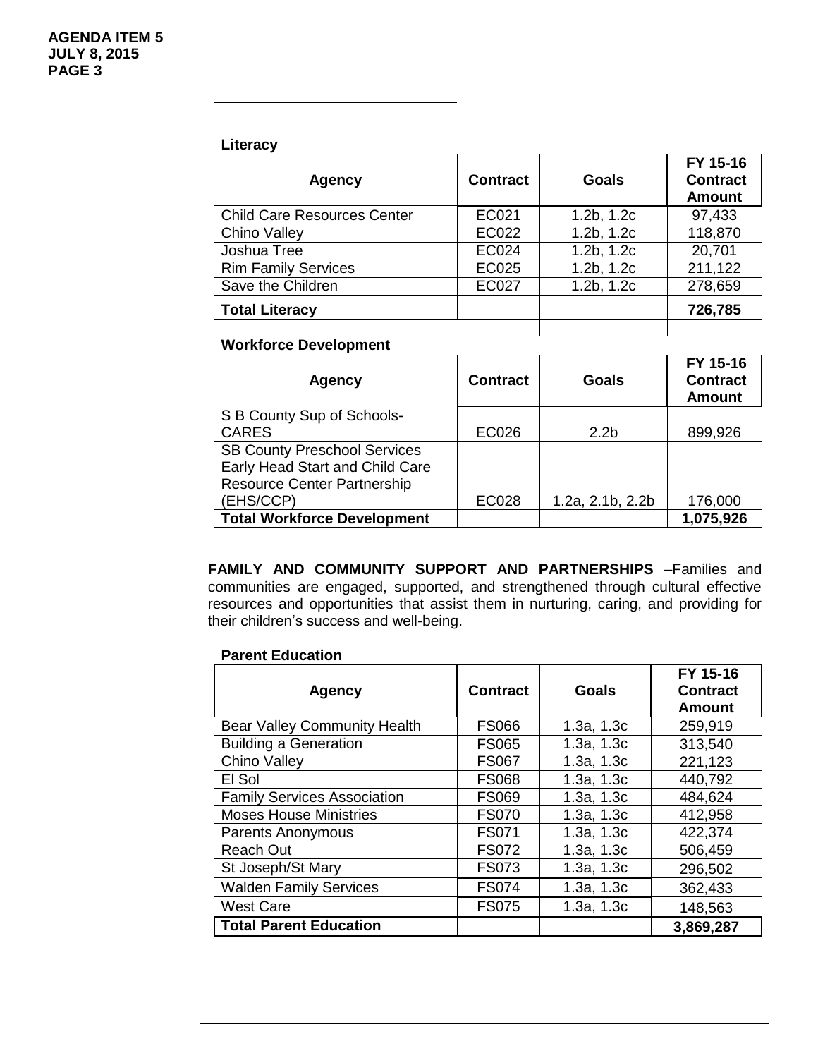#### **Literacy**

| <b>Agency</b>                      | <b>Contract</b> | Goals      | FY 15-16<br><b>Contract</b><br><b>Amount</b> |
|------------------------------------|-----------------|------------|----------------------------------------------|
| <b>Child Care Resources Center</b> | EC021           | 1.2b, 1.2c | 97,433                                       |
| <b>Chino Valley</b>                | EC022           | 1.2b, 1.2c | 118,870                                      |
| Joshua Tree                        | EC024           | 1.2b, 1.2c | 20,701                                       |
| <b>Rim Family Services</b>         | <b>EC025</b>    | 1.2b, 1.2c | 211,122                                      |
| Save the Children                  | <b>EC027</b>    | 1.2b, 1.2c | 278,659                                      |
| <b>Total Literacy</b>              |                 |            | 726,785                                      |

#### **Workforce Development**

| <b>Agency</b>                       | <b>Contract</b> | Goals            | FY 15-16<br><b>Contract</b><br><b>Amount</b> |
|-------------------------------------|-----------------|------------------|----------------------------------------------|
| S B County Sup of Schools-          |                 |                  |                                              |
| <b>CARES</b>                        | <b>EC026</b>    | 2.2 <sub>b</sub> | 899,926                                      |
| <b>SB County Preschool Services</b> |                 |                  |                                              |
| Early Head Start and Child Care     |                 |                  |                                              |
| <b>Resource Center Partnership</b>  |                 |                  |                                              |
| (EHS/CCP)                           | <b>EC028</b>    | 1.2a, 2.1b, 2.2b | 176,000                                      |
| <b>Total Workforce Development</b>  |                 |                  | 1,075,926                                    |

**FAMILY AND COMMUNITY SUPPORT AND PARTNERSHIPS** –Families and communities are engaged, supported, and strengthened through cultural effective resources and opportunities that assist them in nurturing, caring, and providing for their children's success and well-being.

#### **Parent Education**

| <b>Agency</b>                       | <b>Contract</b> | Goals      | FY 15-16<br><b>Contract</b><br><b>Amount</b> |
|-------------------------------------|-----------------|------------|----------------------------------------------|
| <b>Bear Valley Community Health</b> | <b>FS066</b>    | 1.3a, 1.3c | 259,919                                      |
| <b>Building a Generation</b>        | <b>FS065</b>    | 1.3a, 1.3c | 313,540                                      |
| <b>Chino Valley</b>                 | <b>FS067</b>    | 1.3a, 1.3c | 221,123                                      |
| El Sol                              | <b>FS068</b>    | 1.3a, 1.3c | 440,792                                      |
| <b>Family Services Association</b>  | <b>FS069</b>    | 1.3a, 1.3c | 484,624                                      |
| <b>Moses House Ministries</b>       | <b>FS070</b>    | 1.3a, 1.3c | 412,958                                      |
| <b>Parents Anonymous</b>            | <b>FS071</b>    | 1.3a, 1.3c | 422,374                                      |
| <b>Reach Out</b>                    | <b>FS072</b>    | 1.3a, 1.3c | 506,459                                      |
| St Joseph/St Mary                   | <b>FS073</b>    | 1.3a, 1.3c | 296,502                                      |
| <b>Walden Family Services</b>       | <b>FS074</b>    | 1.3a, 1.3c | 362,433                                      |
| <b>West Care</b>                    | <b>FS075</b>    | 1.3a, 1.3c | 148,563                                      |
| <b>Total Parent Education</b>       |                 |            | 3.869,287                                    |